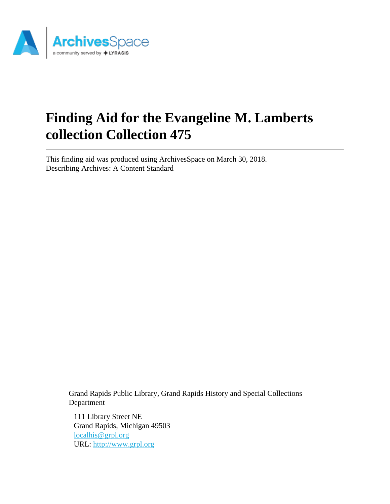

# **Finding Aid for the Evangeline M. Lamberts collection Collection 475**

This finding aid was produced using ArchivesSpace on March 30, 2018. Describing Archives: A Content Standard

> Grand Rapids Public Library, Grand Rapids History and Special Collections Department

111 Library Street NE Grand Rapids, Michigan 49503 [localhis@grpl.org](mailto:localhis@grpl.org) URL:<http://www.grpl.org>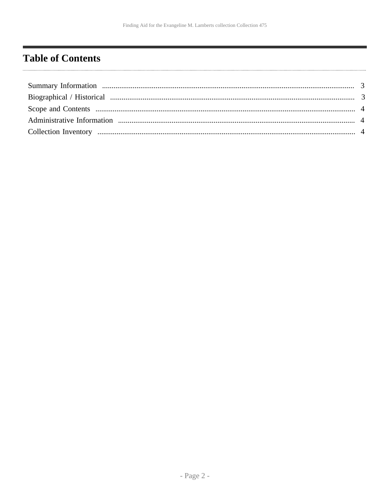# <span id="page-1-0"></span>**Table of Contents**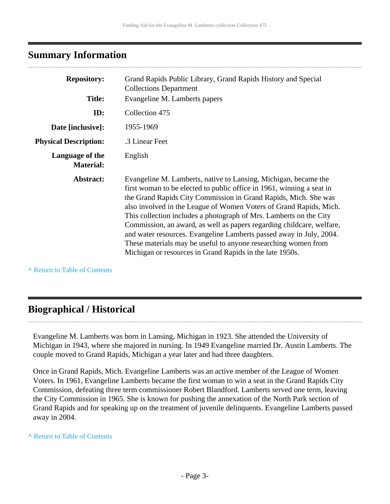# <span id="page-2-0"></span>**Summary Information**

| <b>Repository:</b><br><b>Title:</b> | Grand Rapids Public Library, Grand Rapids History and Special<br><b>Collections Department</b>                                                                                                                                                                                                                                                                                                                                                                                                                                                                                                                                        |  |  |  |
|-------------------------------------|---------------------------------------------------------------------------------------------------------------------------------------------------------------------------------------------------------------------------------------------------------------------------------------------------------------------------------------------------------------------------------------------------------------------------------------------------------------------------------------------------------------------------------------------------------------------------------------------------------------------------------------|--|--|--|
|                                     | Evangeline M. Lamberts papers                                                                                                                                                                                                                                                                                                                                                                                                                                                                                                                                                                                                         |  |  |  |
| ID:                                 | Collection 475                                                                                                                                                                                                                                                                                                                                                                                                                                                                                                                                                                                                                        |  |  |  |
| Date [inclusive]:                   | 1955-1969                                                                                                                                                                                                                                                                                                                                                                                                                                                                                                                                                                                                                             |  |  |  |
| <b>Physical Description:</b>        | .3 Linear Feet                                                                                                                                                                                                                                                                                                                                                                                                                                                                                                                                                                                                                        |  |  |  |
| Language of the<br><b>Material:</b> | English                                                                                                                                                                                                                                                                                                                                                                                                                                                                                                                                                                                                                               |  |  |  |
| Abstract:                           | Evangeline M. Lamberts, native to Lansing, Michigan, became the<br>first woman to be elected to public office in 1961, winning a seat in<br>the Grand Rapids City Commission in Grand Rapids, Mich. She was<br>also involved in the League of Women Voters of Grand Rapids, Mich.<br>This collection includes a photograph of Mrs. Lamberts on the City<br>Commission, an award, as well as papers regarding childcare, welfare,<br>and water resources. Evangeline Lamberts passed away in July, 2004.<br>These materials may be useful to anyone researching women from<br>Michigan or resources in Grand Rapids in the late 1950s. |  |  |  |

**^** [Return to Table of Contents](#page-1-0)

# <span id="page-2-1"></span>**Biographical / Historical**

Evangeline M. Lamberts was born in Lansing, Michigan in 1923. She attended the University of Michigan in 1943, where she majored in nursing. In 1949 Evangeline married Dr. Austin Lamberts. The couple moved to Grand Rapids, Michigan a year later and had three daughters.

Once in Grand Rapids, Mich. Evangeline Lamberts was an active member of the League of Women Voters. In 1961, Evangeline Lamberts became the first woman to win a seat in the Grand Rapids City Commission, defeating three term commissioner Robert Blandford. Lamberts served one term, leaving the City Commission in 1965. She is known for pushing the annexation of the North Park section of Grand Rapids and for speaking up on the treatment of juvenile delinquents. Evangeline Lamberts passed away in 2004.

#### **^** [Return to Table of Contents](#page-1-0)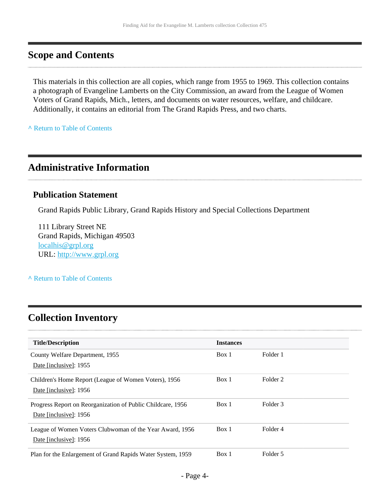# <span id="page-3-0"></span>**Scope and Contents**

This materials in this collection are all copies, which range from 1955 to 1969. This collection contains a photograph of Evangeline Lamberts on the City Commission, an award from the League of Women Voters of Grand Rapids, Mich., letters, and documents on water resources, welfare, and childcare. Additionally, it contains an editorial from The Grand Rapids Press, and two charts.

**^** [Return to Table of Contents](#page-1-0)

# <span id="page-3-1"></span>**Administrative Information**

#### **Publication Statement**

Grand Rapids Public Library, Grand Rapids History and Special Collections Department

111 Library Street NE Grand Rapids, Michigan 49503 [localhis@grpl.org](mailto:localhis@grpl.org) URL:<http://www.grpl.org>

**^** [Return to Table of Contents](#page-1-0)

# <span id="page-3-2"></span>**Collection Inventory**

| <b>Title/Description</b>                                                              | <b>Instances</b> |          |
|---------------------------------------------------------------------------------------|------------------|----------|
| County Welfare Department, 1955<br>Date [inclusive]: 1955                             | Box 1            | Folder 1 |
| Children's Home Report (League of Women Voters), 1956<br>Date [inclusive]: 1956       | Box 1            | Folder 2 |
| Progress Report on Reorganization of Public Childcare, 1956<br>Date [inclusive]: 1956 | Box 1            | Folder 3 |
| League of Women Voters Clubwoman of the Year Award, 1956<br>Date [inclusive]: 1956    | Box 1            | Folder 4 |
| Plan for the Enlargement of Grand Rapids Water System, 1959                           | Box 1            | Folder 5 |